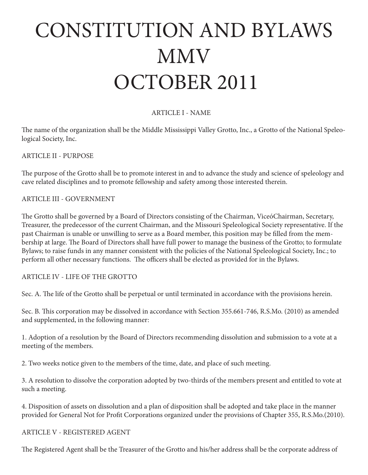# CONSTITUTION AND BYLAWS MMV OCTOBER 2011

### ARTICLE I - NAME

The name of the organization shall be the Middle Mississippi Valley Grotto, Inc., a Grotto of the National Speleological Society, Inc.

ARTICLE II - PURPOSE

The purpose of the Grotto shall be to promote interest in and to advance the study and science of speleology and cave related disciplines and to promote fellowship and safety among those interested therein.

ARTICLE III - GOVERNMENT

The Grotto shall be governed by a Board of Directors consisting of the Chairman, ViceóChairman, Secretary, Treasurer, the predecessor of the current Chairman, and the Missouri Speleological Society representative. If the past Chairman is unable or unwilling to serve as a Board member, this position may be filled from the membership at large. The Board of Directors shall have full power to manage the business of the Grotto; to formulate Bylaws; to raise funds in any manner consistent with the policies of the National Speleological Society, Inc.; to perform all other necessary functions. The officers shall be elected as provided for in the Bylaws.

ARTICLE IV - LIFE OF THE GROTTO

Sec. A. The life of the Grotto shall be perpetual or until terminated in accordance with the provisions herein.

Sec. B. This corporation may be dissolved in accordance with Section 355.661-746, R.S.Mo. (2010) as amended and supplemented, in the following manner:

1. Adoption of a resolution by the Board of Directors recommending dissolution and submission to a vote at a meeting of the members.

2. Two weeks notice given to the members of the time, date, and place of such meeting.

3. A resolution to dissolve the corporation adopted by two-thirds of the members present and entitled to vote at such a meeting.

4. Disposition of assets on dissolution and a plan of disposition shall be adopted and take place in the manner provided for General Not for Profit Corporations organized under the provisions of Chapter 355, R.S.Mo.(2010).

#### ARTICLE V - REGISTERED AGENT

The Registered Agent shall be the Treasurer of the Grotto and his/her address shall be the corporate address of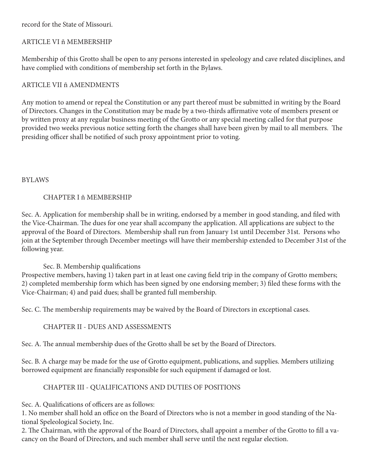record for the State of Missouri.

## ARTICLE VI ñ MEMBERSHIP

Membership of this Grotto shall be open to any persons interested in speleology and cave related disciplines, and have complied with conditions of membership set forth in the Bylaws.

## ARTICLE VII ñ AMENDMENTS

Any motion to amend or repeal the Constitution or any part thereof must be submitted in writing by the Board of Directors. Changes in the Constitution may be made by a two-thirds affirmative vote of members present or by written proxy at any regular business meeting of the Grotto or any special meeting called for that purpose provided two weeks previous notice setting forth the changes shall have been given by mail to all members. The presiding officer shall be notified of such proxy appointment prior to voting.

#### BYLAWS

### CHAPTER I ñ MEMBERSHIP

Sec. A. Application for membership shall be in writing, endorsed by a member in good standing, and filed with the Vice-Chairman. The dues for one year shall accompany the application. All applications are subject to the approval of the Board of Directors. Membership shall run from January 1st until December 31st. Persons who join at the September through December meetings will have their membership extended to December 31st of the following year.

### Sec. B. Membership qualifications

Prospective members, having 1) taken part in at least one caving field trip in the company of Grotto members; 2) completed membership form which has been signed by one endorsing member; 3) filed these forms with the Vice-Chairman; 4) and paid dues; shall be granted full membership.

Sec. C. The membership requirements may be waived by the Board of Directors in exceptional cases.

### CHAPTER II - DUES AND ASSESSMENTS

Sec. A. The annual membership dues of the Grotto shall be set by the Board of Directors.

Sec. B. A charge may be made for the use of Grotto equipment, publications, and supplies. Members utilizing borrowed equipment are financially responsible for such equipment if damaged or lost.

# CHAPTER III - QUALIFICATIONS AND DUTIES OF POSITIONS

Sec. A. Qualifications of officers are as follows:

1. No member shall hold an office on the Board of Directors who is not a member in good standing of the National Speleological Society, Inc.

2. The Chairman, with the approval of the Board of Directors, shall appoint a member of the Grotto to fill a vacancy on the Board of Directors, and such member shall serve until the next regular election.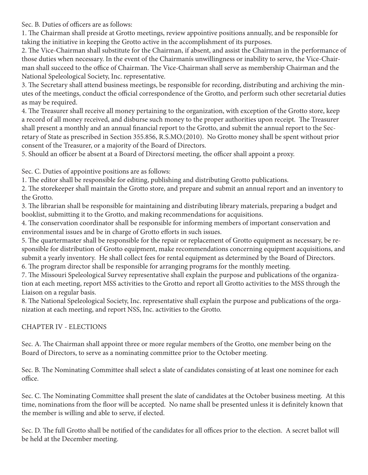Sec. B. Duties of officers are as follows:

1. The Chairman shall preside at Grotto meetings, review appointive positions annually, and be responsible for taking the initiative in keeping the Grotto active in the accomplishment of its purposes.

2. The Vice-Chairman shall substitute for the Chairman, if absent, and assist the Chairman in the performance of those duties when necessary. In the event of the Chairmanís unwillingness or inability to serve, the Vice-Chairman shall succeed to the office of Chairman. The Vice-Chairman shall serve as membership Chairman and the National Speleological Society, Inc. representative.

3. The Secretary shall attend business meetings, be responsible for recording, distributing and archiving the minutes of the meetings, conduct the official correspondence of the Grotto, and perform such other secretarial duties as may be required.

4. The Treasurer shall receive all money pertaining to the organization, with exception of the Grotto store, keep a record of all money received, and disburse such money to the proper authorities upon receipt. The Treasurer shall present a monthly and an annual financial report to the Grotto, and submit the annual report to the Secretary of State as prescribed in Section 355.856, R.S.MO.(2010). No Grotto money shall be spent without prior consent of the Treasurer, or a majority of the Board of Directors.

5. Should an officer be absent at a Board of Directorsí meeting, the officer shall appoint a proxy.

Sec. C. Duties of appointive positions are as follows:

1. The editor shall be responsible for editing, publishing and distributing Grotto publications.

2. The storekeeper shall maintain the Grotto store, and prepare and submit an annual report and an inventory to the Grotto.

3. The librarian shall be responsible for maintaining and distributing library materials, preparing a budget and booklist, submitting it to the Grotto, and making recommendations for acquisitions.

4. The conservation coordinator shall be responsible for informing members of important conservation and environmental issues and be in charge of Grotto efforts in such issues.

5. The quartermaster shall be responsible for the repair or replacement of Grotto equipment as necessary, be responsible for distribution of Grotto equipment, make recommendations concerning equipment acquisitions, and submit a yearly inventory. He shall collect fees for rental equipment as determined by the Board of Directors. 6. The program director shall be responsible for arranging programs for the monthly meeting.

7. The Missouri Speleological Survey representative shall explain the purpose and publications of the organization at each meeting, report MSS activities to the Grotto and report all Grotto activities to the MSS through the Liaison on a regular basis.

8. The National Speleological Society, Inc. representative shall explain the purpose and publications of the organization at each meeting, and report NSS, Inc. activities to the Grotto.

### CHAPTER IV - ELECTIONS

Sec. A. The Chairman shall appoint three or more regular members of the Grotto, one member being on the Board of Directors, to serve as a nominating committee prior to the October meeting.

Sec. B. The Nominating Committee shall select a slate of candidates consisting of at least one nominee for each office.

Sec. C. The Nominating Committee shall present the slate of candidates at the October business meeting. At this time, nominations from the floor will be accepted. No name shall be presented unless it is definitely known that the member is willing and able to serve, if elected.

Sec. D. The full Grotto shall be notified of the candidates for all offices prior to the election. A secret ballot will be held at the December meeting.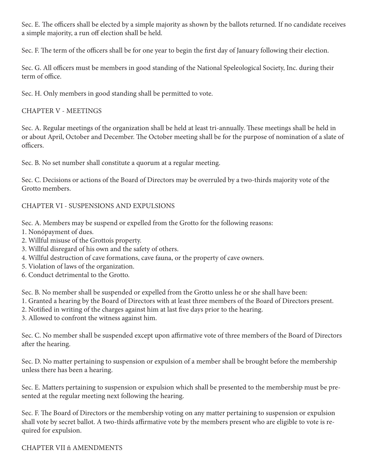Sec. E. The officers shall be elected by a simple majority as shown by the ballots returned. If no candidate receives a simple majority, a run off election shall be held.

Sec. F. The term of the officers shall be for one year to begin the first day of January following their election.

Sec. G. All officers must be members in good standing of the National Speleological Society, Inc. during their term of office.

Sec. H. Only members in good standing shall be permitted to vote.

## CHAPTER V - MEETINGS

Sec. A. Regular meetings of the organization shall be held at least tri-annually. These meetings shall be held in or about April, October and December. The October meeting shall be for the purpose of nomination of a slate of officers.

Sec. B. No set number shall constitute a quorum at a regular meeting.

Sec. C. Decisions or actions of the Board of Directors may be overruled by a two-thirds majority vote of the Grotto members.

# CHAPTER VI - SUSPENSIONS AND EXPULSIONS

Sec. A. Members may be suspend or expelled from the Grotto for the following reasons:

- 1. Nonópayment of dues.
- 2. Willful misuse of the Grottoís property.
- 3. Willful disregard of his own and the safety of others.
- 4. Willful destruction of cave formations, cave fauna, or the property of cave owners.
- 5. Violation of laws of the organization.
- 6. Conduct detrimental to the Grotto.

Sec. B. No member shall be suspended or expelled from the Grotto unless he or she shall have been:

- 1. Granted a hearing by the Board of Directors with at least three members of the Board of Directors present.
- 2. Notified in writing of the charges against him at last five days prior to the hearing.
- 3. Allowed to confront the witness against him.

Sec. C. No member shall be suspended except upon affirmative vote of three members of the Board of Directors after the hearing.

Sec. D. No matter pertaining to suspension or expulsion of a member shall be brought before the membership unless there has been a hearing.

Sec. E. Matters pertaining to suspension or expulsion which shall be presented to the membership must be presented at the regular meeting next following the hearing.

Sec. F. The Board of Directors or the membership voting on any matter pertaining to suspension or expulsion shall vote by secret ballot. A two-thirds affirmative vote by the members present who are eligible to vote is required for expulsion.

CHAPTER VII ñ AMENDMENTS